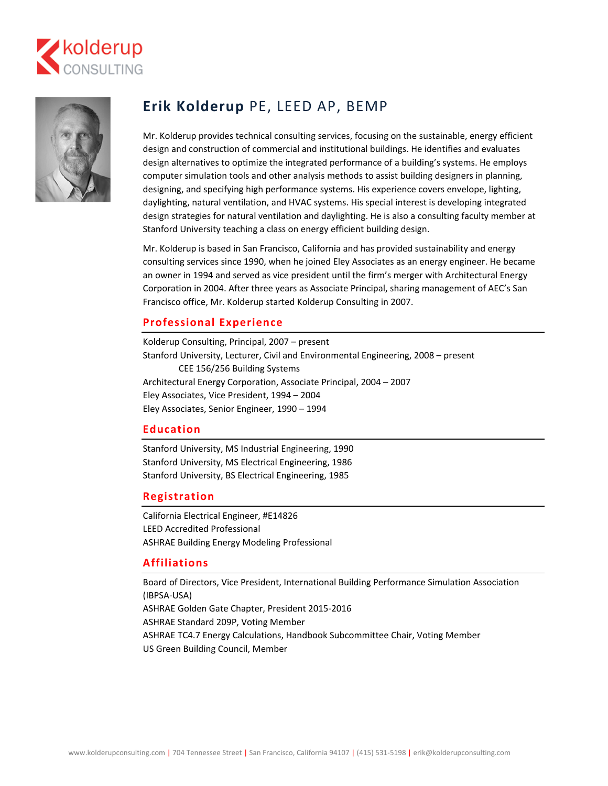



# **Erik Kolderup** PE, LEED AP, BEMP

Mr. Kolderup provides technical consulting services, focusing on the sustainable, energy efficient design and construction of commercial and institutional buildings. He identifies and evaluates design alternatives to optimize the integrated performance of a building's systems. He employs computer simulation tools and other analysis methods to assist building designers in planning, designing, and specifying high performance systems. His experience covers envelope, lighting, daylighting, natural ventilation, and HVAC systems. His special interest is developing integrated design strategies for natural ventilation and daylighting. He is also a consulting faculty member at Stanford University teaching a class on energy efficient building design.

Mr. Kolderup is based in San Francisco, California and has provided sustainability and energy consulting services since 1990, when he joined Eley Associates as an energy engineer. He became an owner in 1994 and served as vice president until the firm's merger with Architectural Energy Corporation in 2004. After three years as Associate Principal, sharing management of AEC's San Francisco office, Mr. Kolderup started Kolderup Consulting in 2007.

### **Professional Experience**

Kolderup Consulting, Principal, 2007 – present Stanford University, Lecturer, Civil and Environmental Engineering, 2008 – present CEE 156/256 Building Systems Architectural Energy Corporation, Associate Principal, 2004 – 2007 Eley Associates, Vice President, 1994 – 2004 Eley Associates, Senior Engineer, 1990 – 1994

#### **Education**

Stanford University, MS Industrial Engineering, 1990 Stanford University, MS Electrical Engineering, 1986 Stanford University, BS Electrical Engineering, 1985

#### **Registration**

California Electrical Engineer, #E14826 LEED Accredited Professional ASHRAE Building Energy Modeling Professional

#### **Affiliations**

Board of Directors, Vice President, International Building Performance Simulation Association (IBPSA‐USA) ASHRAE Golden Gate Chapter, President 2015‐2016 ASHRAE Standard 209P, Voting Member ASHRAE TC4.7 Energy Calculations, Handbook Subcommittee Chair, Voting Member US Green Building Council, Member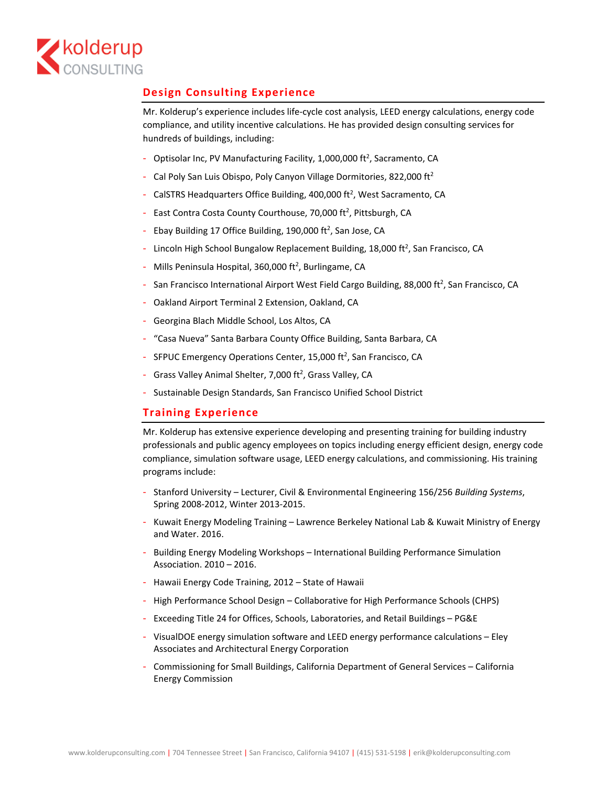

## **Design Consulting Experience**

Mr. Kolderup's experience includes life‐cycle cost analysis, LEED energy calculations, energy code compliance, and utility incentive calculations. He has provided design consulting services for hundreds of buildings, including:

- Optisolar Inc, PV Manufacturing Facility, 1,000,000 ft<sup>2</sup>, Sacramento, CA
- ‐ Cal Poly San Luis Obispo, Poly Canyon Village Dormitories, 822,000 ft2
- CalSTRS Headquarters Office Building, 400,000 ft<sup>2</sup>, West Sacramento, CA
- East Contra Costa County Courthouse, 70,000 ft<sup>2</sup>, Pittsburgh, CA
- Ebay Building 17 Office Building, 190,000 ft<sup>2</sup>, San Jose, CA
- Lincoln High School Bungalow Replacement Building, 18,000 ft<sup>2</sup>, San Francisco, CA
- Mills Peninsula Hospital, 360,000 ft<sup>2</sup>, Burlingame, CA
- San Francisco International Airport West Field Cargo Building, 88,000 ft<sup>2</sup>, San Francisco, CA
- ‐ Oakland Airport Terminal 2 Extension, Oakland, CA
- ‐ Georgina Blach Middle School, Los Altos, CA
- ‐ "Casa Nueva" Santa Barbara County Office Building, Santa Barbara, CA
- SFPUC Emergency Operations Center, 15,000  $ft^2$ , San Francisco, CA
- Grass Valley Animal Shelter, 7,000 ft<sup>2</sup>, Grass Valley, CA
- ‐ Sustainable Design Standards, San Francisco Unified School District

### **Training Experience**

Mr. Kolderup has extensive experience developing and presenting training for building industry professionals and public agency employees on topics including energy efficient design, energy code compliance, simulation software usage, LEED energy calculations, and commissioning. His training programs include:

- ‐ Stanford University Lecturer, Civil & Environmental Engineering 156/256 *Building Systems*, Spring 2008‐2012, Winter 2013‐2015.
- ‐ Kuwait Energy Modeling Training Lawrence Berkeley National Lab & Kuwait Ministry of Energy and Water. 2016.
- ‐ Building Energy Modeling Workshops International Building Performance Simulation Association. 2010 – 2016.
- ‐ Hawaii Energy Code Training, 2012 State of Hawaii
- ‐ High Performance School Design Collaborative for High Performance Schools (CHPS)
- ‐ Exceeding Title 24 for Offices, Schools, Laboratories, and Retail Buildings PG&E
- ‐ VisualDOE energy simulation software and LEED energy performance calculations Eley Associates and Architectural Energy Corporation
- ‐ Commissioning for Small Buildings, California Department of General Services California Energy Commission